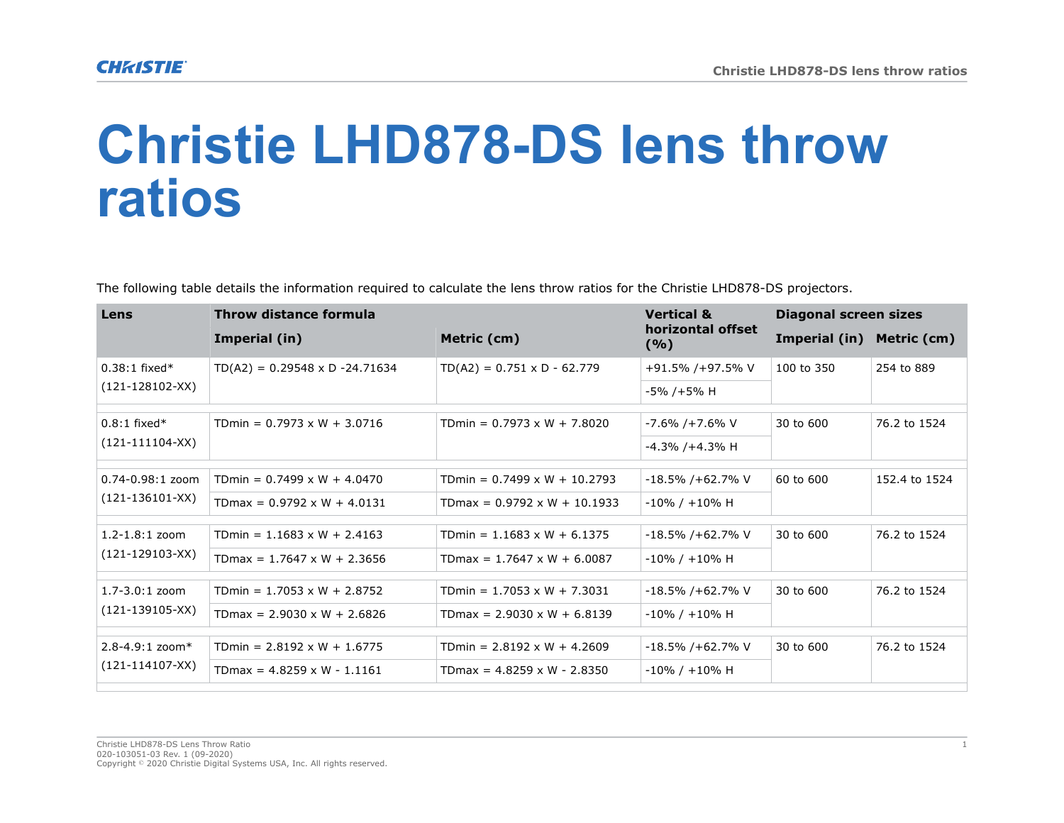## **Christie LHD878-DS lens throw ratios**

The following table details the information required to calculate the lens throw ratios for the Christie LHD878-DS projectors.

| Lens                                        | Throw distance formula                 |                                     | <b>Vertical &amp;</b>    | <b>Diagonal screen sizes</b> |               |
|---------------------------------------------|----------------------------------------|-------------------------------------|--------------------------|------------------------------|---------------|
|                                             | Imperial (in)                          | Metric (cm)                         | horizontal offset<br>(%) | Imperial (in)                | Metric (cm)   |
| $0.38:1$ fixed*<br>$(121 - 128102 - XX)$    | $TD(A2) = 0.29548 \times D - 24.71634$ | $TD(A2) = 0.751 \times D - 62.779$  | +91.5% /+97.5% V         | 100 to 350                   | 254 to 889    |
|                                             |                                        |                                     | -5% /+5% H               |                              |               |
| $0.8:1$ fixed*<br>$(121-111104-XX)$         | TDmin = $0.7973 \times W + 3.0716$     | TDmin = $0.7973 \times W + 7.8020$  | -7.6% /+7.6% V           | 30 to 600                    | 76.2 to 1524  |
|                                             |                                        |                                     | $-4.3\%$ /+4.3% H        |                              |               |
| $0.74 - 0.98:1$ zoom<br>$(121-136101-XX)$   | TDmin = $0.7499 \times W + 4.0470$     | TDmin = $0.7499 \times W + 10.2793$ | $-18.5\%$ /+62.7% V      | 60 to 600                    | 152.4 to 1524 |
|                                             | TDmax = $0.9792 \times W + 4.0131$     | TDmax = $0.9792 \times W + 10.1933$ | $-10\%$ / $+10\%$ H      |                              |               |
| $1.2 - 1.8:1$ zoom<br>$(121 - 129103 - XX)$ | TDmin = $1.1683 \times W + 2.4163$     | TDmin = $1.1683 \times W + 6.1375$  | $-18.5\%$ /+62.7% V      | 30 to 600                    | 76.2 to 1524  |
|                                             | TDmax = $1.7647 \times W + 2.3656$     | TDmax = $1.7647 \times W + 6.0087$  | $-10\%$ / $+10\%$ H      |                              |               |
| $1.7 - 3.0:1$ zoom<br>$(121 - 139105 - XX)$ | TDmin = $1.7053 \times W + 2.8752$     | TDmin = $1.7053 \times W + 7.3031$  | $-18.5\%$ /+62.7% V      | 30 to 600                    | 76.2 to 1524  |
|                                             | TDmax = $2.9030 \times W + 2.6826$     | TDmax = $2.9030 \times W + 6.8139$  | $-10\%$ / $+10\%$ H      |                              |               |
| $2.8 - 4.9:1$ zoom*<br>$(121-114107-XX)$    | TDmin = $2.8192 \times W + 1.6775$     | TDmin = $2.8192 \times W + 4.2609$  | $-18.5\%$ /+62.7% V      | 30 to 600                    | 76.2 to 1524  |
|                                             | TDmax = $4.8259 \times W - 1.1161$     | TDmax = $4.8259 \times W - 2.8350$  | $-10\%$ / $+10\%$ H      |                              |               |